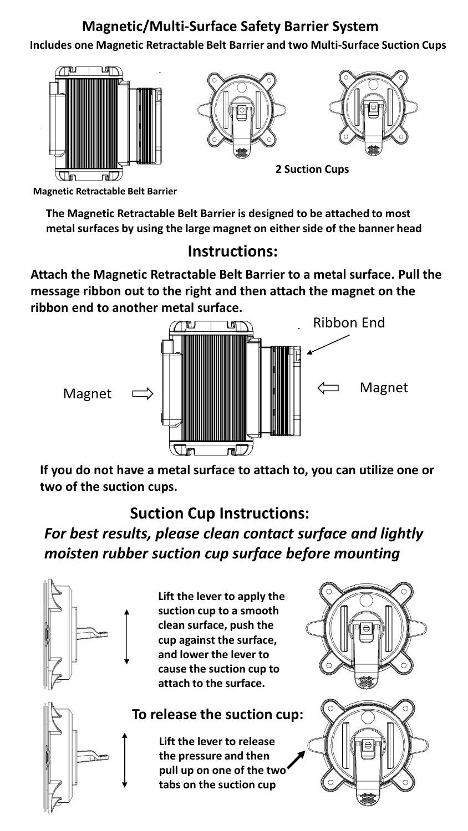## **Magnetic/Multi-Surface Safety Barrier System**

**Includes one Magnetic Retractable Belt Barrier and two Multi-Surface Suction Cups**



**Magnetic Retractable Belt Barrier**

**The Magnetic Retractable Belt Barrier is designed to be attached to most metal surfaces by using the large magnet on either side of the banner head**

#### **Instructions:**

**Attach the Magnetic Retractable Belt Barrier to a metal surface. Pull the message ribbon out to the right and then attach the magnet on the ribbon end to another metal surface.**



**If you do not have a metal surface to attach to, you can utilize one or two of the suction cups.**

### **Suction Cup Instructions:**

*For best results, please clean contact surface and lightly moisten rubber suction cup surface before mounting*



**Lift the lever to apply the suction cup to a smooth clean surface, push the cup against the surface, and lower the lever to cause the suction cup to attach to the surface.**

#### **To release the suction cup:**

**Lift the lever to release the pressure and then pull up on one of the two tabs on the suction cup**